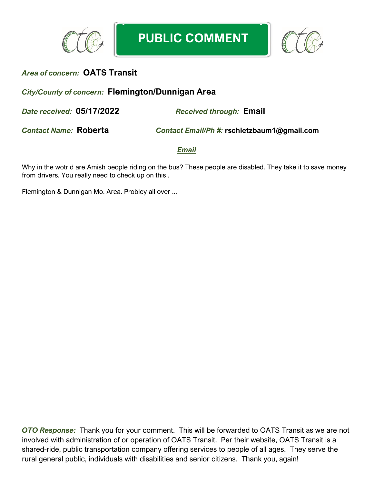



## *City/County of concern:* **Flemington/Dunnigan Area**

*Date received:* **05/17/2022** *Received through:* **Email**

*Contact Name:* **Roberta** *Contact Email/Ph #:* **rschletzbaum1@gmail.com**

*Email*

Why in the wotrld are Amish people riding on the bus? These people are disabled. They take it to save money from drivers. You really need to check up on this .

Flemington & Dunnigan Mo. Area. Probley all over ...

*OTO Response:* Thank you for your comment. This will be forwarded to OATS Transit as we are not involved with administration of or operation of OATS Transit. Per their website, OATS Transit is a shared-ride, public transportation company offering services to people of all ages. They serve the rural general public, individuals with disabilities and senior citizens. Thank you, again!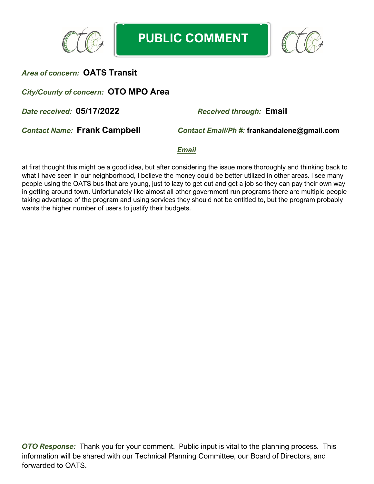

**PUBLIC COMMENT**



## *Area of concern:* **OATS Transit**

## *City/County of concern:* **OTO MPO Area**

*Date received:* **05/17/2022** *Received through:* **Email**

*Contact Name:* **Frank Campbell** *Contact Email/Ph #:* **frankandalene@gmail.com**

#### *Email*

at first thought this might be a good idea, but after considering the issue more thoroughly and thinking back to what I have seen in our neighborhood, I believe the money could be better utilized in other areas. I see many people using the OATS bus that are young, just to lazy to get out and get a job so they can pay their own way in getting around town. Unfortunately like almost all other government run programs there are multiple people taking advantage of the program and using services they should not be entitled to, but the program probably wants the higher number of users to justify their budgets.

*OTO Response:* Thank you for your comment. Public input is vital to the planning process. This information will be shared with our Technical Planning Committee, our Board of Directors, and forwarded to OATS.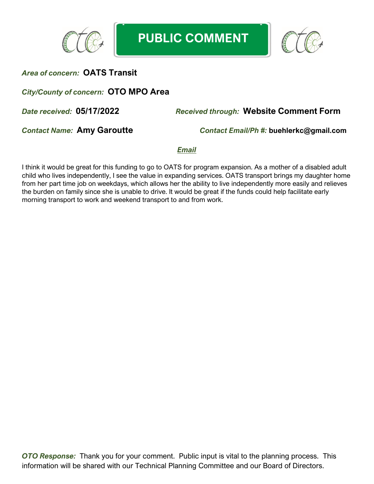



## *City/County of concern:* **OTO MPO Area**

## *Date received:* **05/17/2022** *Received through:* **Website Comment Form**

*Contact Name:* **Amy Garoutte** *Contact Email/Ph #:* **buehlerkc@gmail.com**

*Email*

I think it would be great for this funding to go to OATS for program expansion. As a mother of a disabled adult child who lives independently, I see the value in expanding services. OATS transport brings my daughter home from her part time job on weekdays, which allows her the ability to live independently more easily and relieves the burden on family since she is unable to drive. It would be great if the funds could help facilitate early morning transport to work and weekend transport to and from work.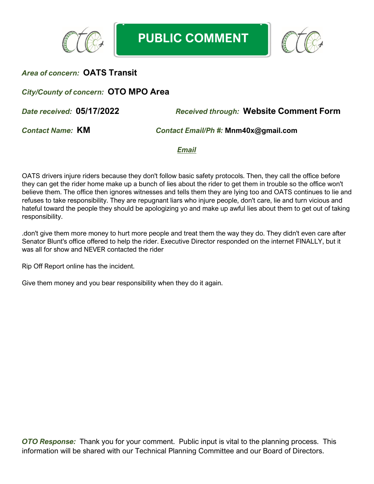



## *City/County of concern:* **OTO MPO Area**

*Date received:* **05/17/2022** *Received through:* **Website Comment Form**

*Contact Name:* **KM** *Contact Email/Ph #:* **Mnm40x@gmail.com**

*Email*

OATS drivers injure riders because they don't follow basic safety protocols. Then, they call the office before they can get the rider home make up a bunch of lies about the rider to get them in trouble so the office won't believe them. The office then ignores witnesses and tells them they are lying too and OATS continues to lie and refuses to take responsibility. They are repugnant liars who injure people, don't care, lie and turn vicious and hateful toward the people they should be apologizing yo and make up awful lies about them to get out of taking responsibility.

.don't give them more money to hurt more people and treat them the way they do. They didn't even care after Senator Blunt's office offered to help the rider. Executive Director responded on the internet FINALLY, but it was all for show and NEVER contacted the rider

Rip Off Report online has the incident.

Give them money and you bear responsibility when they do it again.

*OTO Response:* Thank you for your comment. Public input is vital to the planning process. This information will be shared with our Technical Planning Committee and our Board of Directors.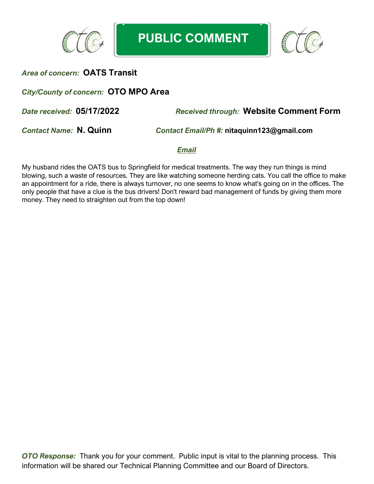



## *City/County of concern:* **OTO MPO Area**

*Date received:* **05/17/2022** *Received through:* **Website Comment Form**

*Contact Name:* **N. Quinn** *Contact Email/Ph #:* **nitaquinn123@gmail.com**

*Email*

My husband rides the OATS bus to Springfield for medical treatments. The way they run things is mind blowing, such a waste of resources. They are like watching someone herding cats. You call the office to make an appointment for a ride, there is always turnover, no one seems to know what's going on in the offices. The only people that have a clue is the bus drivers! Don't reward bad management of funds by giving them more money. They need to straighten out from the top down!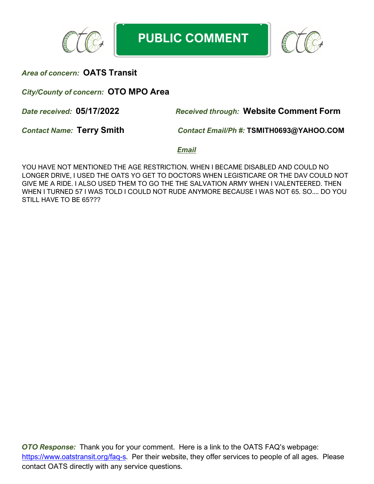

**PUBLIC COMMENT**



## *Area of concern:* **OATS Transit**

*City/County of concern:* **OTO MPO Area**

*Date received:* **05/17/2022** *Received through:* **Website Comment Form**

*Contact Name:* **Terry Smith** *Contact Email/Ph #:* **TSMITH0693@YAHOO.COM**

*Email*

YOU HAVE NOT MENTIONED THE AGE RESTRICTION. WHEN I BECAME DISABLED AND COULD NO LONGER DRIVE, I USED THE OATS YO GET TO DOCTORS WHEN LEGISTICARE OR THE DAV COULD NOT GIVE ME A RIDE. I ALSO USED THEM TO GO THE THE SALVATION ARMY WHEN I VALENTEERED. THEN WHEN I TURNED 57 I WAS TOLD I COULD NOT RUDE ANYMORE BECAUSE I WAS NOT 65. SO.... DO YOU STILL HAVE TO BE 65???

*OTO Response:* Thank you for your comment. Here is a link to the OATS FAQ's webpage: [https://www.oatstransit.org/faq-s.](https://www.oatstransit.org/faq-s) Per their website, they offer services to people of all ages. Please contact OATS directly with any service questions.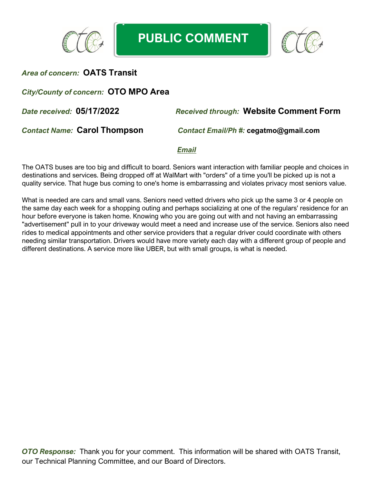



## *City/County of concern:* **OTO MPO Area**

## *Date received:* **05/17/2022** *Received through:* **Website Comment Form**

*Contact Name:* **Carol Thompson** *Contact Email/Ph #:* **cegatmo@gmail.com**

#### *Email*

The OATS buses are too big and difficult to board. Seniors want interaction with familiar people and choices in destinations and services. Being dropped off at WalMart with "orders" of a time you'll be picked up is not a quality service. That huge bus coming to one's home is embarrassing and violates privacy most seniors value.

What is needed are cars and small vans. Seniors need vetted drivers who pick up the same 3 or 4 people on the same day each week for a shopping outing and perhaps socializing at one of the regulars' residence for an hour before everyone is taken home. Knowing who you are going out with and not having an embarrassing "advertisement" pull in to your driveway would meet a need and increase use of the service. Seniors also need rides to medical appointments and other service providers that a regular driver could coordinate with others needing similar transportation. Drivers would have more variety each day with a different group of people and different destinations. A service more like UBER, but with small groups, is what is needed.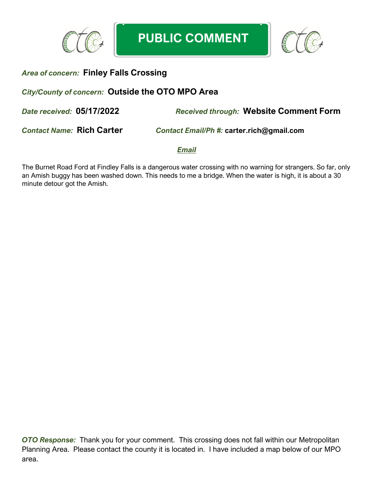



## *Area of concern:* **Finley Falls Crossing**

## *City/County of concern:* **Outside the OTO MPO Area**

*Date received:* **05/17/2022** *Received through:* **Website Comment Form**

*Contact Name:* **Rich Carter** *Contact Email/Ph #:* **carter.rich@gmail.com**

*Email*

The Burnet Road Ford at Findley Falls is a dangerous water crossing with no warning for strangers. So far, only an Amish buggy has been washed down. This needs to me a bridge. When the water is high, it is about a 30 minute detour got the Amish.

**OTO Response:** Thank you for your comment. This crossing does not fall within our Metropolitan Planning Area. Please contact the county it is located in. I have included a map below of our MPO area.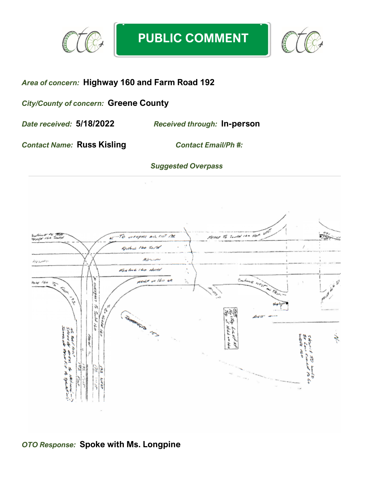



# *Area of concern:* **Highway 160 and Farm Road 192**

*City/County of concern:* **Greene County**

*Date received:* **5/18/2022** *Received through:* **In-person**

*Contact Name:* **Russ Kisling** *Contact Email/Ph #:* 

### *Suggested Overpass*



## *OTO Response:* **Spoke with Ms. Longpine**